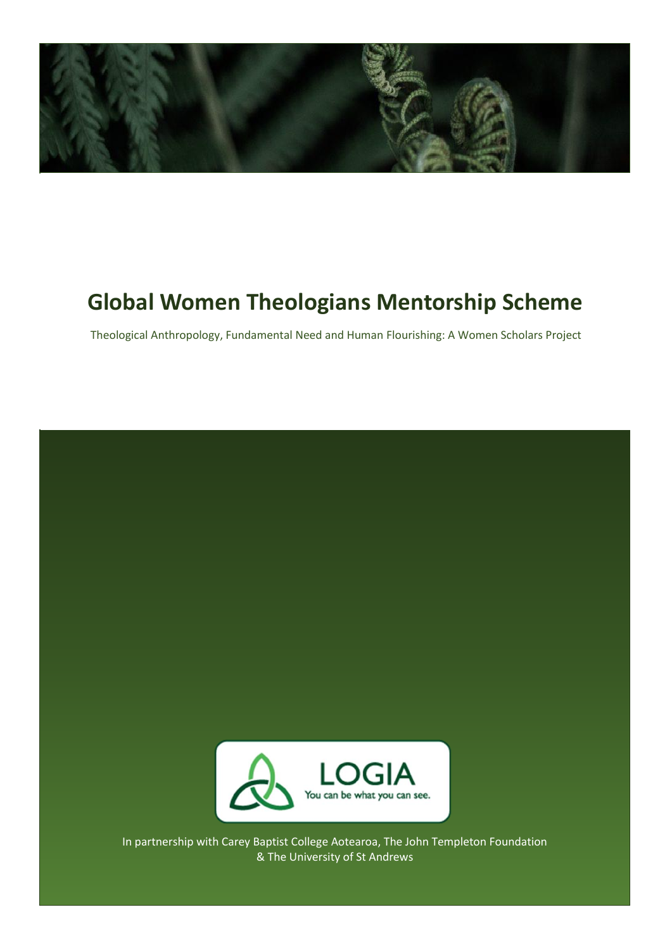

## **Global Women Theologians Mentorship Scheme**

Theological Anthropology, Fundamental Need and Human Flourishing: A Women Scholars Project

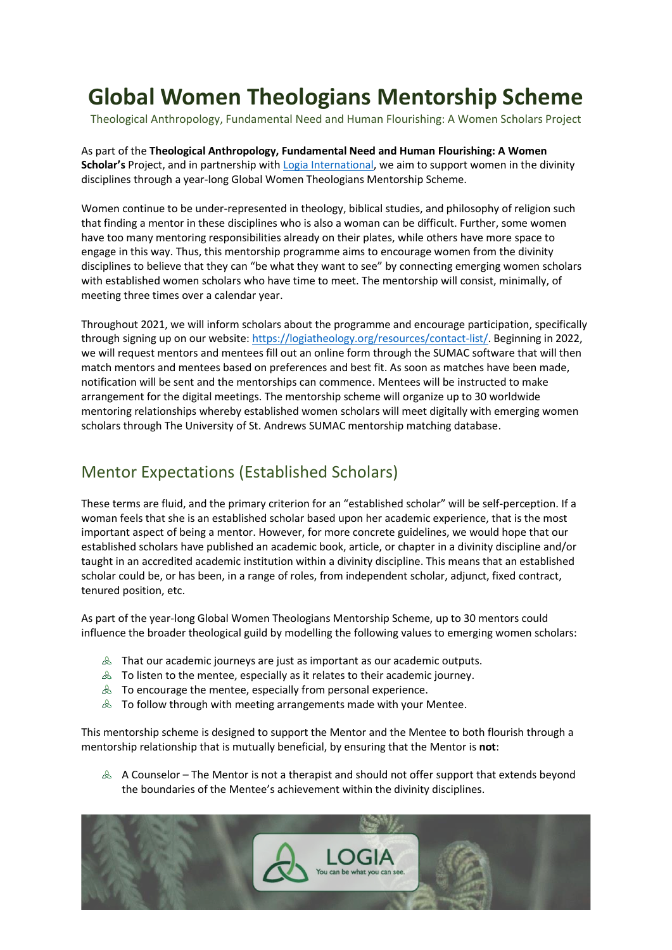## **Global Women Theologians Mentorship Scheme**

Theological Anthropology, Fundamental Need and Human Flourishing: A Women Scholars Project

As part of the **Theological Anthropology, Fundamental Need and Human Flourishing: A Women Scholar's** Project, and in partnership with [Logia International,](file:///C:/Users/user/Downloads/logiatheology.org) we aim to support women in the divinity disciplines through a year-long Global Women Theologians Mentorship Scheme.

Women continue to be under-represented in theology, biblical studies, and philosophy of religion such that finding a mentor in these disciplines who is also a woman can be difficult. Further, some women have too many mentoring responsibilities already on their plates, while others have more space to engage in this way. Thus, this mentorship programme aims to encourage women from the divinity disciplines to believe that they can "be what they want to see" by connecting emerging women scholars with established women scholars who have time to meet. The mentorship will consist, minimally, of meeting three times over a calendar year.

Throughout 2021, we will inform scholars about the programme and encourage participation, specifically through signing up on our website[: https://logiatheology.org/resources/contact-list/.](https://logiatheology.org/resources/contact-list/) Beginning in 2022, we will request mentors and mentees fill out an online form through the SUMAC software that will then match mentors and mentees based on preferences and best fit. As soon as matches have been made, notification will be sent and the mentorships can commence. Mentees will be instructed to make arrangement for the digital meetings. The mentorship scheme will organize up to 30 worldwide mentoring relationships whereby established women scholars will meet digitally with emerging women scholars through The University of St. Andrews SUMAC mentorship matching database.

## Mentor Expectations (Established Scholars)

These terms are fluid, and the primary criterion for an "established scholar" will be self-perception. If a woman feels that she is an established scholar based upon her academic experience, that is the most important aspect of being a mentor. However, for more concrete guidelines, we would hope that our established scholars have published an academic book, article, or chapter in a divinity discipline and/or taught in an accredited academic institution within a divinity discipline. This means that an established scholar could be, or has been, in a range of roles, from independent scholar, adjunct, fixed contract, tenured position, etc.

As part of the year-long Global Women Theologians Mentorship Scheme, up to 30 mentors could influence the broader theological guild by modelling the following values to emerging women scholars:

- $\&$  That our academic journeys are just as important as our academic outputs.
- $\triangle$  To listen to the mentee, especially as it relates to their academic journey.
- $\triangle$  To encourage the mentee, especially from personal experience.
- $\&$  To follow through with meeting arrangements made with your Mentee.

This mentorship scheme is designed to support the Mentor and the Mentee to both flourish through a mentorship relationship that is mutually beneficial, by ensuring that the Mentor is **not**:

 $\&$  A Counselor – The Mentor is not a therapist and should not offer support that extends beyond the boundaries of the Mentee's achievement within the divinity disciplines.

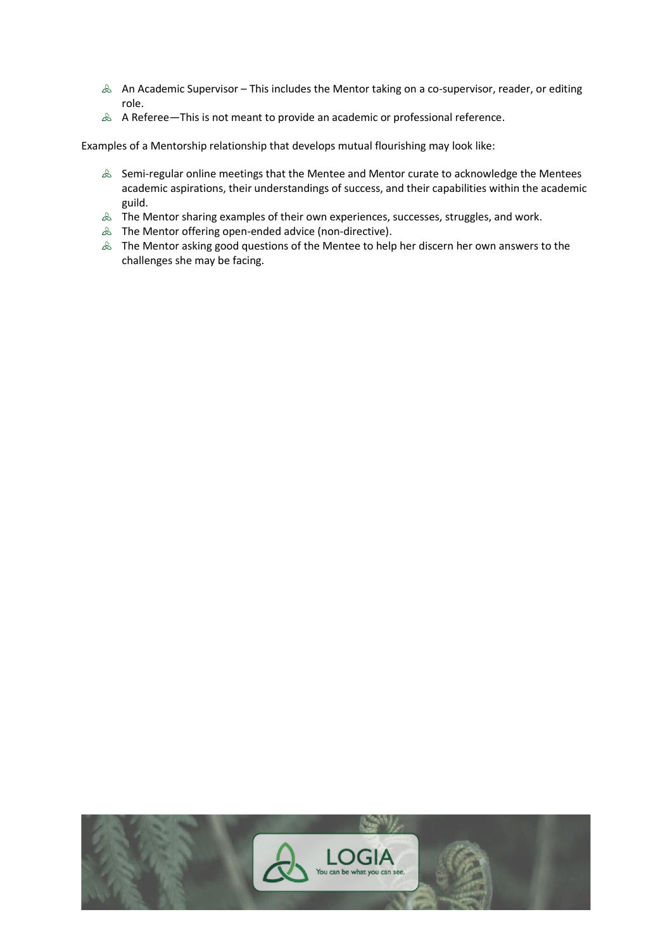- $\triangle$  An Academic Supervisor This includes the Mentor taking on a co-supervisor, reader, or editing role.
- $\triangle$  A Referee—This is not meant to provide an academic or professional reference.

Examples of a Mentorship relationship that develops mutual flourishing may look like:

- $\triangle$  Semi-regular online meetings that the Mentee and Mentor curate to acknowledge the Mentees academic aspirations, their understandings of success, and their capabilities within the academic guild.
- $\triangle$  The Mentor sharing examples of their own experiences, successes, struggles, and work.
- $\&$  The Mentor offering open-ended advice (non-directive).
- $\&$  The Mentor asking good questions of the Mentee to help her discern her own answers to the challenges she may be facing.